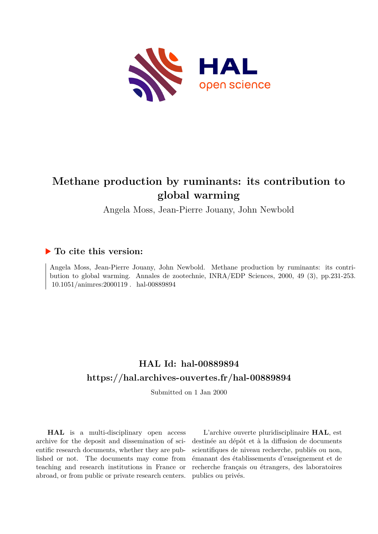

# **Methane production by ruminants: its contribution to global warming**

Angela Moss, Jean-Pierre Jouany, John Newbold

# **To cite this version:**

Angela Moss, Jean-Pierre Jouany, John Newbold. Methane production by ruminants: its contribution to global warming. Annales de zootechnie, INRA/EDP Sciences, 2000, 49 (3), pp.231-253.  $10.1051/\mathrm{animres:} 2000119$  . hal-00889894

# **HAL Id: hal-00889894 <https://hal.archives-ouvertes.fr/hal-00889894>**

Submitted on 1 Jan 2000

**HAL** is a multi-disciplinary open access archive for the deposit and dissemination of scientific research documents, whether they are published or not. The documents may come from teaching and research institutions in France or abroad, or from public or private research centers.

L'archive ouverte pluridisciplinaire **HAL**, est destinée au dépôt et à la diffusion de documents scientifiques de niveau recherche, publiés ou non, émanant des établissements d'enseignement et de recherche français ou étrangers, des laboratoires publics ou privés.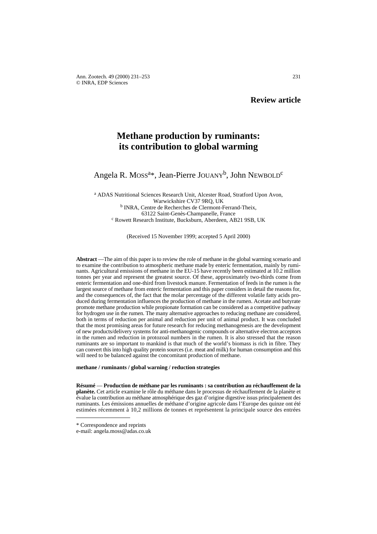# **Methane production by ruminants: its contribution to global warming**

# Angela R. Moss<sup>a\*</sup>, Jean-Pierre JOUANY<sup>b</sup>, John NEWBOLD<sup>c</sup>

<sup>a</sup> ADAS Nutritional Sciences Research Unit, Alcester Road, Stratford Upon Avon, Warwickshire CV37 9RQ, UK <sup>b</sup> INRA, Centre de Recherches de Clermont-Ferrand-Theix, 63122 Saint-Genès-Champanelle, France c Rowett Research Institute, Bucksburn, Aberdeen, AB21 9SB, UK

(Received 15 November 1999; accepted 5 April 2000)

**Abstract** —The aim of this paper is to review the role of methane in the global warming scenario and to examine the contribution to atmospheric methane made by enteric fermentation, mainly by ruminants. Agricultural emissions of methane in the EU-15 have recently been estimated at 10.2 million tonnes per year and represent the greatest source. Of these, approximately two-thirds come from enteric fermentation and one-third from livestock manure. Fermentation of feeds in the rumen is the largest source of methane from enteric fermentation and this paper considers in detail the reasons for, and the consequences of, the fact that the molar percentage of the different volatile fatty acids produced during fermentation influences the production of methane in the rumen. Acetate and butyrate promote methane production while propionate formation can be considered as a competitive pathway for hydrogen use in the rumen. The many alternative approaches to reducing methane are considered, both in terms of reduction per animal and reduction per unit of animal product. It was concluded that the most promising areas for future research for reducing methanogenesis are the development of new products/delivery systems for anti-methanogenic compounds or alternative electron acceptors in the rumen and reduction in protozoal numbers in the rumen. It is also stressed that the reason ruminants are so important to mankind is that much of the world's biomass is rich in fibre. They can convert this into high quality protein sources (i.e. meat and milk) for human consumption and this will need to be balanced against the concomitant production of methane.

**methane / ruminants / global warning / reduction strategies**

**Résumé** — **Production de méthane par les ruminants : sa contribution au réchauffement de la planète.** Cet article examine le rôle du méthane dans le processus de réchauffement de la planète et évalue la contribution au méthane atmosphérique des gaz d'origine digestive issus principalement des ruminants. Les émissions annuelles de méthane d'origine agricole dans l'Europe des quinze ont été estimées récemment à 10,2 millions de tonnes et représentent la principale source des entrées

<sup>\*</sup> Correspondence and reprints

e-mail: angela.moss@adas.co.uk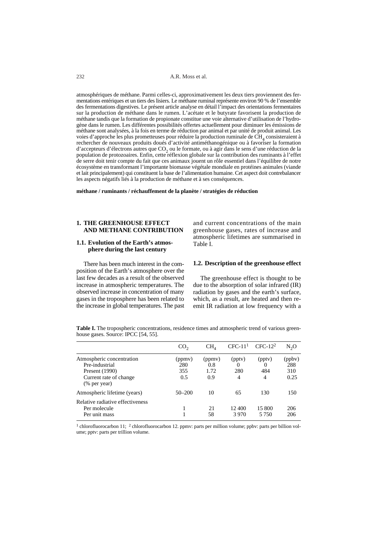232 A.R. Moss et al.

atmosphériques de méthane. Parmi celles-ci, approximativement les deux tiers proviennent des fermentations entériques et un tiers des lisiers. Le méthane ruminal représente environ 90 % de l'ensemble des fermentations digestives. Le présent article analyse en détail l'impact des orientations fermentaires sur la production de méthane dans le rumen. L'acétate et le butyrate favorisent la production de méthane tandis que la formation de propionate constitue une voie alternative d'utilisation de l'hydrogène dans le rumen. Les différentes possibilités offertes actuellement pour diminuer les émissions de méthane sont analysées, à la fois en terme de réduction par animal et par unité de produit animal. Les voies d'approche les plus prometteuses pour réduire la production ruminale de  $\rm CH<sub>4</sub>$  consisteraient à rechercher de nouveaux produits doués d'activité antiméthanogénique ou à favoriser la formation d'accepteurs d'électrons autres que CO<sub>2</sub> ou le formate, ou à agir dans le sens d'une réduction de la population de protozoaires. Enfin, cette réflexion globale sur la contribution des ruminants à l'effet de serre doit tenir compte du fait que ces animaux jouent un rôle essentiel dans l'équilibre de notre écosystème en transformant l'importante biomasse végétale mondiale en protéines animales (viande et lait principalement) qui constituent la base de l'alimentation humaine. Cet aspect doit contrebalancer les aspects négatifs liés à la production de méthane et à ses conséquences.

**méthane / ruminants / réchauffement de la planète / stratégies de réduction**

#### **1. THE GREENHOUSE EFFECT AND METHANE CONTRIBUTION**

# **1.1. Evolution of the Earth's atmosphere during the last century**

There has been much interest in the composition of the Earth's atmosphere over the last few decades as a result of the observed increase in atmospheric temperatures. The observed increase in concentration of many gases in the troposphere has been related to the increase in global temperatures. The past

and current concentrations of the main greenhouse gases, rates of increase and atmospheric lifetimes are summarised in Table I.

#### **1.2. Description of the greenhouse effect**

The greenhouse effect is thought to be due to the absorption of solar infrared (IR) radiation by gases and the earth's surface, which, as a result, are heated and then reemit IR radiation at low frequency with a

**Table I.** The tropospheric concentrations, residence times and atmospheric trend of various greenhouse gases. Source: IPCC [54, 55].

|                                                                                                         | CO <sub>2</sub>             | CH <sub>A</sub>              | $CFC-111$          | $CFC-122$                      | $N_2O$                       |
|---------------------------------------------------------------------------------------------------------|-----------------------------|------------------------------|--------------------|--------------------------------|------------------------------|
| Atmospheric concentration<br>Pre-industrial<br>Present (1990)<br>Current rate of change<br>(% per year) | (ppmv)<br>280<br>355<br>0.5 | (ppmv)<br>0.8<br>1.72<br>0.9 | (pptv)<br>280<br>4 | (pptv)<br>$\theta$<br>484<br>4 | (ppbv)<br>288<br>310<br>0.25 |
| Atmospheric lifetime (years)                                                                            | $50 - 200$                  | 10                           | 65                 | 130                            | 150                          |
| Relative radiative effectiveness<br>Per molecule<br>Per unit mass                                       |                             | 21<br>58                     | 12400<br>3970      | 15 800<br>5 7 5 0              | 206<br>206                   |

<sup>1</sup> chlorofluorocarbon 11; <sup>2</sup> chlorofluorocarbon 12. ppmv: parts per million volume; ppbv: parts per billion volume; pptv: parts per trillion volume.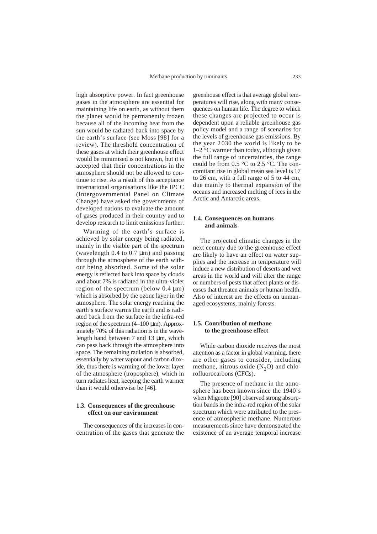high absorptive power. In fact greenhouse gases in the atmosphere are essential for maintaining life on earth, as without them the planet would be permanently frozen because all of the incoming heat from the sun would be radiated back into space by the earth's surface (see Moss [98] for a review). The threshold concentration of these gases at which their greenhouse effect would be minimised is not known, but it is accepted that their concentrations in the atmosphere should not be allowed to continue to rise. As a result of this acceptance international organisations like the IPCC (Intergovernmental Panel on Climate Change) have asked the governments of developed nations to evaluate the amount of gases produced in their country and to develop research to limit emissions further.

Warming of the earth's surface is achieved by solar energy being radiated, mainly in the visible part of the spectrum (wavelength  $0.4$  to  $0.7 \mu m$ ) and passing through the atmosphere of the earth without being absorbed. Some of the solar energy is reflected back into space by clouds and about 7% is radiated in the ultra-violet region of the spectrum (below 0.4 µm) which is absorbed by the ozone layer in the atmosphere. The solar energy reaching the earth's surface warms the earth and is radiated back from the surface in the infra-red region of the spectrum  $(4–100 \text{ µm})$ . Approximately 70% of this radiation is in the wavelength band between 7 and 13 µm, which can pass back through the atmosphere into space. The remaining radiation is absorbed, essentially by water vapour and carbon dioxide, thus there is warming of the lower layer of the atmosphere (troposphere), which in turn radiates heat, keeping the earth warmer than it would otherwise be [46].

# **1.3. Consequences of the greenhouse effect on our environment**

The consequences of the increases in concentration of the gases that generate the

greenhouse effect is that average global temperatures will rise, along with many consequences on human life. The degree to which these changes are projected to occur is dependent upon a reliable greenhouse gas policy model and a range of scenarios for the levels of greenhouse gas emissions. By the year 2030 the world is likely to be 1–2 °C warmer than today, although given the full range of uncertainties, the range could be from 0.5 °C to 2.5 °C. The concomitant rise in global mean sea level is 17 to 26 cm, with a full range of 5 to 44 cm, due mainly to thermal expansion of the oceans and increased melting of ices in the Arctic and Antarctic areas.

# **1.4. Consequences on humans and animals**

The projected climatic changes in the next century due to the greenhouse effect are likely to have an effect on water supplies and the increase in temperature will induce a new distribution of deserts and wet areas in the world and will alter the range or numbers of pests that affect plants or diseases that threaten animals or human health. Also of interest are the effects on unmanaged ecosystems, mainly forests.

## **1.5. Contribution of methane to the greenhouse effect**

While carbon dioxide receives the most attention as a factor in global warming, there are other gases to consider, including methane, nitrous oxide  $(N_2O)$  and chlorofluorocarbons (CFCs).

The presence of methane in the atmosphere has been known since the 1940's when Migeotte [90] observed strong absorption bands in the infra-red region of the solar spectrum which were attributed to the presence of atmospheric methane. Numerous measurements since have demonstrated the existence of an average temporal increase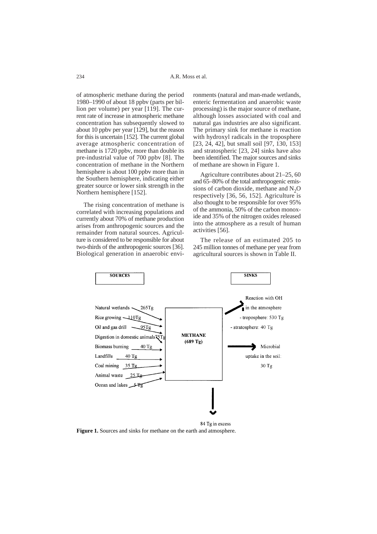of atmospheric methane during the period 1980–1990 of about 18 ppbv (parts per billion per volume) per year [119]. The current rate of increase in atmospheric methane concentration has subsequently slowed to about 10 ppbv per year [129], but the reason for this is uncertain [152]. The current global average atmospheric concentration of methane is 1720 ppbv, more than double its pre-industrial value of 700 ppbv [8]. The concentration of methane in the Northern hemisphere is about 100 ppbv more than in the Southern hemisphere, indicating either greater source or lower sink strength in the Northern hemisphere [152].

The rising concentration of methane is correlated with increasing populations and currently about 70% of methane production arises from anthropogenic sources and the remainder from natural sources. Agriculture is considered to be responsible for about two-thirds of the anthropogenic sources [36]. Biological generation in anaerobic environments (natural and man-made wetlands, enteric fermentation and anaerobic waste processing) is the major source of methane, although losses associated with coal and natural gas industries are also significant. The primary sink for methane is reaction with hydroxyl radicals in the troposphere [23, 24, 42], but small soil [97, 130, 153] and stratospheric [23, 24] sinks have also been identified. The major sources and sinks of methane are shown in Figure 1.

Agriculture contributes about 21–25, 60 and 65–80% of the total anthropogenic emissions of carbon dioxide, methane and  $N_2O$ respectively [36, 56, 152]. Agriculture is also thought to be responsible for over 95% of the ammonia, 50% of the carbon monoxide and 35% of the nitrogen oxides released into the atmosphere as a result of human activities [56].

The release of an estimated 205 to 245 million tonnes of methane per year from agricultural sources is shown in Table II.



**Figure 1.** Sources and sinks for methane on the earth and atmosphere.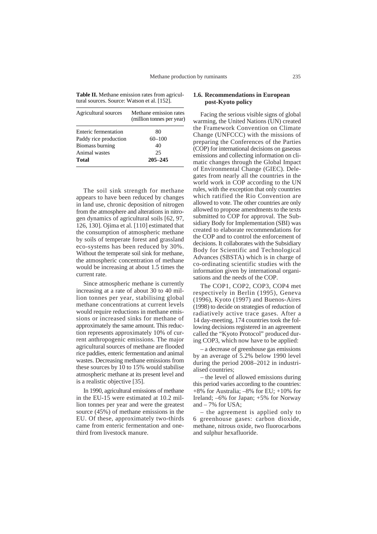**Table II.** Methane emission rates from agricultural sources. Source: Watson et al. [152].

| Agricultural sources  | Methane emission rates<br>(million tonnes per year) |  |  |
|-----------------------|-----------------------------------------------------|--|--|
| Enteric fermentation  | 80                                                  |  |  |
| Paddy rice production | $60 - 100$                                          |  |  |
| Biomass burning       | 40                                                  |  |  |
| Animal wastes         | 25                                                  |  |  |
| Total                 | $205 - 245$                                         |  |  |

The soil sink strength for methane appears to have been reduced by changes in land use, chronic deposition of nitrogen from the atmosphere and alterations in nitrogen dynamics of agricultural soils [62, 97, 126, 130]. Ojima et al. [110] estimated that the consumption of atmospheric methane by soils of temperate forest and grassland eco-systems has been reduced by 30%. Without the temperate soil sink for methane, the atmospheric concentration of methane would be increasing at about 1.5 times the current rate.

Since atmospheric methane is currently increasing at a rate of about 30 to 40 million tonnes per year, stabilising global methane concentrations at current levels would require reductions in methane emissions or increased sinks for methane of approximately the same amount. This reduction represents approximately 10% of current anthropogenic emissions. The major agricultural sources of methane are flooded rice paddies, enteric fermentation and animal wastes. Decreasing methane emissions from these sources by 10 to 15% would stabilise atmospheric methane at its present level and is a realistic objective [35].

In 1990, agricultural emissions of methane in the EU-15 were estimated at 10.2 million tonnes per year and were the greatest source (45%) of methane emissions in the EU. Of these, approximately two-thirds came from enteric fermentation and onethird from livestock manure.

#### **1.6. Recommendations in European post-Kyoto policy**

Facing the serious visible signs of global warming, the United Nations (UN) created the Framework Convention on Climate Change (UNFCCC) with the missions of preparing the Conferences of the Parties (COP) for international decisions on gaseous emissions and collecting information on climatic changes through the Global Impact of Environmental Change (GIEC). Delegates from nearly all the countries in the world work in COP according to the UN rules, with the exception that only countries which ratified the Rio Convention are allowed to vote. The other countries are only allowed to propose amendments to the texts submitted to COP for approval. The Subsidiary Body for Implementation (SBI) was created to elaborate recommendations for the COP and to control the enforcement of decisions. It collaborates with the Subsidiary Body for Scientific and Technological Advances (SBSTA) which is in charge of co-ordinating scientific studies with the information given by international organisations and the needs of the COP.

The COP1, COP2, COP3, COP4 met respectively in Berlin (1995), Geneva (1996), Kyoto (1997) and Buenos-Aires (1998) to decide on strategies of reduction of radiatively active trace gases. After a 14 day-meeting, 174 countries took the following decisions registered in an agreement called the "Kyoto Protocol" produced during COP3, which now have to be applied:

– a decrease of greenhouse gas emissions by an average of 5.2% below 1990 level during the period 2008–2012 in industrialised countries;

– the level of allowed emissions during this period varies according to the countries: +8% for Australia; –8% for EU; +10% for Ireland; –6% for Japan; +5% for Norway and  $-7\%$  for USA;

– the agreement is applied only to 6 greenhouse gases: carbon dioxide, methane, nitrous oxide, two fluorocarbons and sulphur hexafluoride.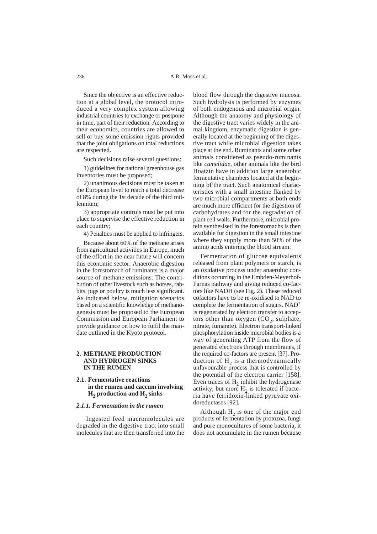Since the objective is an effective reduction at a global level, the protocol introduced a very complex system allowing industrial countries to exchange or postpone in time, part of their reduction. According to their economics, countries are allowed to sell or buy some emission rights provided that the joint obligations on total reductions are respected.

Such decisions raise several questions:

1) guidelines for national greenhouse gas inventories must be proposed;

2) unanimous decisions must be taken at the European level to reach a total decrease of 8% during the 1st decade of the third millennium;

3) appropriate controls must be put into place to supervise the effective reduction in each country;

4) Penalties must be applied to infringers.

Because about 60% of the methane arises from agricultural activities in Europe, much of the effort in the near future will concern this economic sector. Anaerobic digestion in the forestomach of ruminants is a major source of methane emissions. The contribution of other livestock such as horses, rabbits, pigs or poultry is much less significant. As indicated below, mitigation scenarios based on a scientific knowledge of methanogenesis must be proposed to the European Commission and European Parliament to provide guidance on how to fulfil the mandate outlined in the Kyoto protocol.

#### **2. METHANE PRODUCTION AND HYDROGEN SINKS IN THE RUMEN**

# **2.1. Fermentative reactions in the rumen and caecum involving**  $H<sub>2</sub>$  production and  $H<sub>2</sub>$  sinks

#### *2.1.1. Fermentation in the rumen*

Ingested feed macromolecules are degraded in the digestive tract into small molecules that are then transferred into the

blood flow through the digestive mucosa. Such hydrolysis is performed by enzymes of both endogenous and microbial origin. Although the anatomy and physiology of the digestive tract varies widely in the animal kingdom, enzymatic digestion is generally located at the beginning of the digestive tract while microbial digestion takes place at the end. Ruminants and some other animals considered as pseudo-ruminants like *camelidae*, other animals like the bird Hoatzin have in addition large anaerobic fermentative chambers located at the beginning of the tract. Such anatomical characteristics with a small intestine flanked by two microbial compartments at both ends are much more efficient for the digestion of carbohydrates and for the degradation of plant cell walls. Furthermore, microbial protein synthesised in the forestomachs is then available for digestion in the small intestine where they supply more than 50% of the amino acids entering the blood stream.

Fermentation of glucose equivalents released from plant polymers or starch, is an oxidative process under anaerobic conditions occurring in the Embden-Meyerhof-Parnas pathway and giving reduced co-factors like NADH (see Fig. 2). These reduced cofactors have to be re-oxidised to NAD to complete the fermentation of sugars. NAD+ is regenerated by electron transfer to acceptors other than oxygen  $(CO<sub>2</sub>,$  sulphate, nitrate, fumarate). Electron transport-linked phosphorylation inside microbial bodies is a way of generating ATP from the flow of generated electrons through membranes, if the required co-factors are present [37]. Production of  $H<sub>2</sub>$  is a thermodynamically unfavourable process that is controlled by the potential of the electron carrier [158]. Even traces of  $H_2$  inhibit the hydrogenase activity, but more  $H_2$  is tolerated if bacteria have ferridoxin-linked pyruvate oxidoreductases [92].

Although  $H_2$  is one of the major end products of fermentation by protozoa, fungi and pure monocultures of some bacteria, it does not accumulate in the rumen because

236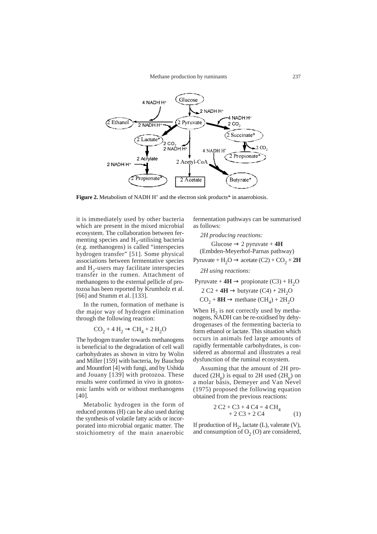

**Figure 2.** Metabolism of NADH H<sup>+</sup> and the electron sink products\* in anaerobiosis.

it is immediately used by other bacteria which are present in the mixed microbial ecosystem. The collaboration between fermenting species and  $H_2$ -utilising bacteria (e.g. methanogens) is called "interspecies hydrogen transfer" [51]. Some physical associations between fermentative species and  $H_2$ -users may facilitate interspecies transfer in the rumen. Attachment of methanogens to the external pellicle of protozoa has been reported by Krumholz et al. [66] and Stumm et al. [133].

In the rumen, formation of methane is the major way of hydrogen elimination through the following reaction:

$$
CO_2 + 4 H_2 \rightarrow CH_4 + 2 H_2O
$$

The hydrogen transfer towards methanogens is beneficial to the degradation of cell wall carbohydrates as shown in vitro by Wolin and Miller [159] with bacteria, by Bauchop and Mountfort [4] with fungi, and by Ushida and Jouany [139] with protozoa. These results were confirmed in vivo in gnotoxenic lambs with or without methanogens [40].

Metabolic hydrogen in the form of reduced protons (H) can be also used during the synthesis of volatile fatty acids or incorporated into microbial organic matter. The stoichiometry of the main anaerobic

fermentation pathways can be summarised as follows:

*2H producing reactions:* Glucose  $\rightarrow$  2 pyruvate + 4H

(Embden-Meyerhof-Parnas pathway) Pyruvate +  $H_2O \rightarrow$  acetate  $(C2) + CO_2 + 2H$ 

*2H using reactions:*

Pyruvate + 
$$
4H \rightarrow
$$
 propionate (C3) + H<sub>2</sub>O  
2 C2 +  $4H \rightarrow$  butyrate (C4) +  $2H_2O$   
CO<sub>2</sub> +  $8H \rightarrow$  methane (CH<sub>4</sub>) +  $2H_2O$ 

When  $H<sub>2</sub>$  is not correctly used by methanogens, NADH can be re-oxidised by dehydrogenases of the fermenting bacteria to form ethanol or lactate. This situation which occurs in animals fed large amounts of rapidly fermentable carbohydrates, is considered as abnormal and illustrates a real dysfunction of the ruminal ecosystem.

Assuming that the amount of 2H produced (2H<sub>p</sub>) is equal to 2H used (2H<sub>u</sub>) on a molar basis, Demeyer and Van Nevel (1975) proposed the following equation obtained from the previous reactions:

$$
2 C2 + C3 + 4 C4 = 4 CH4+ 2 C3 + 2 C4
$$
 (1)

If production of  $H_2$ , lactate (L), valerate (V), and consumption of  $O<sub>2</sub>(O)$  are considered,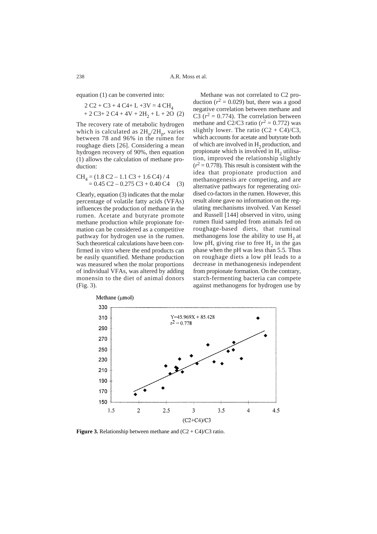equation (1) can be converted into:

$$
2 C2 + C3 + 4 C4 + L + 3V = 4 CH4
$$
  
+ 2 C3 + 2 C4 + 4V + 2H<sub>2</sub> + L + 2O (2)

The recovery rate of metabolic hydrogen which is calculated as  $2H_u/2H_p$ , varies between 78 and 96% in the rumen for roughage diets [26]. Considering a mean hydrogen recovery of 90%, then equation (1) allows the calculation of methane production:

$$
CH4 = (1.8 C2 - 1.1 C3 + 1.6 C4) / 4
$$
  
= 0.45 C2 - 0.275 C3 + 0.40 C4 (3)

Clearly, equation (3) indicates that the molar percentage of volatile fatty acids (VFAs) influences the production of methane in the rumen. Acetate and butyrate promote methane production while propionate formation can be considered as a competitive pathway for hydrogen use in the rumen. Such theoretical calculations have been confirmed in vitro where the end products can be easily quantified. Methane production was measured when the molar proportions of individual VFAs, was altered by adding monensin to the diet of animal donors (Fig. 3).

Methane was not correlated to C2 production  $(r^2 = 0.029)$  but, there was a good negative correlation between methane and C3  $(r^2 = 0.774)$ . The correlation between methane and C2/C3 ratio  $(r^2 = 0.772)$  was slightly lower. The ratio  $(C2 + C4)/C3$ , which accounts for acetate and butyrate both of which are involved in  $H_2$  production, and propionate which is involved in  $H<sub>2</sub>$  utilisation, improved the relationship slightly  $(r^2 = 0.778)$ . This result is consistent with the idea that propionate production and methanogenesis are competing, and are alternative pathways for regenerating oxidised co-factors in the rumen. However, this result alone gave no information on the regulating mechanisms involved. Van Kessel and Russell [144] observed in vitro, using rumen fluid sampled from animals fed on roughage-based diets, that ruminal methanogens lose the ability to use  $H<sub>2</sub>$  at low pH, giving rise to free  $H_2$  in the gas phase when the pH was less than 5.5. Thus on roughage diets a low pH leads to a decrease in methanogenesis independent from propionate formation. On the contrary, starch-fermenting bacteria can compete against methanogens for hydrogen use by



**Figure 3.** Relationship between methane and  $(C2 + C4)/C3$  ratio.

238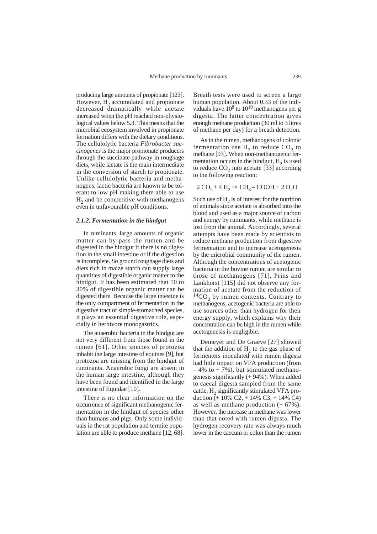producing large amounts of propionate [123]. However,  $H<sub>2</sub>$  accumulated and propionate decreased dramatically while acetate increased when the pH reached non-physiological values below 5.3. This means that the microbial ecosystem involved in propionate formation differs with the dietary conditions. The cellulolytic bacteria *Fibrobacter succinogenes* is the major propionate producers through the succinate pathway in roughage diets, while lactate is the main intermediate in the conversion of starch to propionate. Unlike cellulolytic bacteria and methanogens, lactic bacteria are known to be tolerant to low pH making them able to use  $H<sub>2</sub>$  and be competitive with methanogens even in unfavourable pH conditions.

#### *2.1.2. Fermentation in the hindgut*

In ruminants, large amounts of organic matter can by-pass the rumen and be digested in the hindgut if there is no digestion in the small intestine or if the digestion is incomplete. So ground roughage diets and diets rich in maize starch can supply large quantities of digestible organic matter to the hindgut. It has been estimated that 10 to 30% of digestible organic matter can be digested there. Because the large intestine is the only compartment of fermentation in the digestive tract of simple-stomached species, it plays an essential digestive role, especially in herbivore monogastrics.

The anaerobic bacteria in the hindgut are not very different from those found in the rumen [61]. Other species of protozoa inhabit the large intestine of equines [9], but protozoa are missing from the hindgut of ruminants. Anaerobic fungi are absent in the human large intestine, although they have been found and identified in the large intestine of Equidae [10].

There is no clear information on the occurrence of significant methanogenic fermentation in the hindgut of species other than humans and pigs. Only some individuals in the rat population and termite population are able to produce methane [12, 68].

Breath tests were used to screen a large human population. About 0.33 of the individuals have  $10^8$  to  $10^{10}$  methanogens per g digesta. The latter concentration gives enough methane production (30 ml to 3 litres of methane per day) for a breath detection.

As in the rumen, methanogens of colonic fermentation use  $H_2$  to reduce  $CO_2$  to methane [93]. When non-methanogenic fermentation occurs in the hindgut,  $H_2$  is used to reduce  $CO<sub>2</sub>$  into acetate [33] according to the following reaction:

$$
2\text{ CO}_2 + 4\text{ H}_2 \rightarrow \text{CH}_3-\text{COOH} + 2\text{ H}_2\text{O}
$$

Such use of  $H<sub>2</sub>$  is of interest for the nutrition of animals since acetate is absorbed into the blood and used as a major source of carbon and energy by ruminants, while methane is lost from the animal. Accordingly, several attempts have been made by scientists to reduce methane production from digestive fermentation and to increase acetogenesis by the microbial community of the rumen. Although the concentrations of acetogenic bacteria in the bovine rumen are similar to those of methanogens [71], Prins and Lankhorst [115] did not observe any formation of acetate from the reduction of  ${}^{14}CO$ <sub>2</sub> by rumen contents. Contrary to methanogens, acetogenic bacteria are able to use sources other than hydrogen for their energy supply, which explains why their concentration can be high in the rumen while acetogenesis is negligible.

Demeyer and De Graeve [27] showed that the addition of  $H<sub>2</sub>$  to the gas phase of fermenters inoculated with rumen digesta had little impact on VFA production (from  $-4\%$  to  $+7\%$ ), but stimulated methanogenesis significantly (+ 94%). When added to caecal digesta sampled from the same cattle,  $H<sub>2</sub>$  significantly stimulated VFA production  $\bar{(+)}$  10% C2, + 14% C3, + 14% C4) as well as methane production (+ 67%). However, the increase in methane was lower than that noted with rumen digesta. The hydrogen recovery rate was always much lower in the caecum or colon than the rumen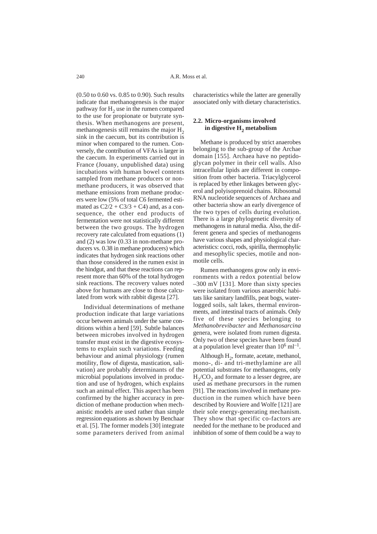(0.50 to 0.60 vs. 0.85 to 0.90). Such results indicate that methanogenesis is the major pathway for  $H<sub>2</sub>$  use in the rumen compared to the use for propionate or butyrate synthesis. When methanogens are present, methanogenesis still remains the major  $H<sub>2</sub>$ sink in the caecum, but its contribution is minor when compared to the rumen. Conversely, the contribution of VFAs is larger in the caecum. In experiments carried out in France (Jouany, unpublished data) using incubations with human bowel contents sampled from methane producers or nonmethane producers, it was observed that methane emissions from methane producers were low (5% of total C6 fermented estimated as  $C\frac{2}{2} + C\frac{3}{3} + C\frac{4}{3}$  and, as a consequence, the other end products of fermentation were not statistically different between the two groups. The hydrogen recovery rate calculated from equations (1) and (2) was low (0.33 in non-methane producers vs. 0.38 in methane producers) which indicates that hydrogen sink reactions other than those considered in the rumen exist in the hindgut, and that these reactions can represent more than 60% of the total hydrogen sink reactions. The recovery values noted above for humans are close to those calculated from work with rabbit digesta [27].

Individual determinations of methane production indicate that large variations occur between animals under the same conditions within a herd [59]. Subtle balances between microbes involved in hydrogen transfer must exist in the digestive ecosystems to explain such variations. Feeding behaviour and animal physiology (rumen motility, flow of digesta, mastication, salivation) are probably determinants of the microbial populations involved in production and use of hydrogen, which explains such an animal effect. This aspect has been confirmed by the higher accuracy in prediction of methane production when mechanistic models are used rather than simple regression equations as shown by Benchaar et al. [5]. The former models [30] integrate some parameters derived from animal

characteristics while the latter are generally associated only with dietary characteristics.

# **2.2. Micro-organisms involved** in digestive H<sub>2</sub> metabolism

Methane is produced by strict anaerobes belonging to the sub-group of the Archae domain [155]. Archaea have no peptidoglycan polymer in their cell walls. Also intracellular lipids are different in composition from other bacteria. Triacylglycerol is replaced by ether linkages between glycerol and polyisoprenoid chains. Ribosomal RNA nucleotide sequences of Archaea and other bacteria show an early divergence of the two types of cells during evolution. There is a large phylogenetic diversity of methanogens in natural media. Also, the different genera and species of methanogens have various shapes and physiological characteristics: cocci, rods, spirilla, thermophylic and mesophylic species, motile and nonmotile cells.

Rumen methanogens grow only in environments with a redox potential below –300 mV [131]. More than sixty species were isolated from various anaerobic habitats like sanitary landfills, peat bogs, waterlogged soils, salt lakes, thermal environments, and intestinal tracts of animals. Only five of these species belonging to *Methanobrevibacter* and *Methanosarcina* genera, were isolated from rumen digesta. Only two of these species have been found at a population level greater than  $10^6$  ml<sup>-1</sup>.

Although  $H_2$ , formate, acetate, methanol, mono-, di- and tri-methylamine are all potential substrates for methanogens, only  $H<sub>2</sub>/CO<sub>2</sub>$  and formate to a lesser degree, are used as methane precursors in the rumen [91]. The reactions involved in methane production in the rumen which have been described by Rouviere and Wolfe [121] are their sole energy-generating mechanism. They show that specific co-factors are needed for the methane to be produced and inhibition of some of them could be a way to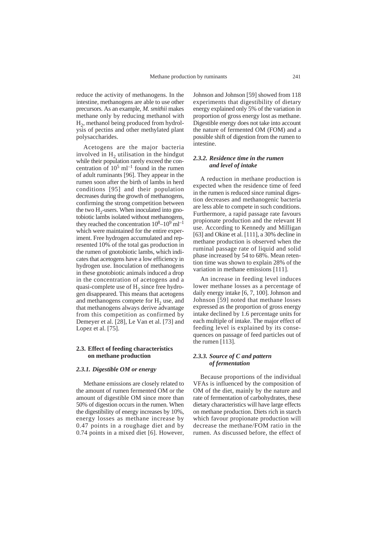reduce the activity of methanogens. In the intestine, methanogens are able to use other precursors. As an example, *M. smithii* makes methane only by reducing methanol with  $H<sub>2</sub>$ , methanol being produced from hydrolysis of pectins and other methylated plant polysaccharides.

Acetogens are the major bacteria involved in  $H<sub>2</sub>$  utilisation in the hindgut while their population rarely exceed the concentration of  $10^5$  ml<sup>-1</sup> found in the rumen of adult ruminants [96]. They appear in the rumen soon after the birth of lambs in herd conditions [95] and their population decreases during the growth of methanogens, confirming the strong competition between the two  $H<sub>2</sub>$ -users. When inoculated into gnotobiotic lambs isolated without methanogens, they reached the concentration  $10^8-10^9$  ml<sup>-1</sup> which were maintained for the entire experiment. Free hydrogen accumulated and represented 10% of the total gas production in the rumen of gnotobiotic lambs, which indicates that acetogens have a low efficiency in hydrogen use. Inoculation of methanogens in these gnotobiotic animals induced a drop in the concentration of acetogens and a quasi-complete use of  $H<sub>2</sub>$  since free hydrogen disappeared. This means that acetogens and methanogens compete for  $H<sub>2</sub>$  use, and that methanogens always derive advantage from this competition as confirmed by Demeyer et al. [28], Le Van et al. [73] and Lopez et al. [75].

# **2.3. Effect of feeding characteristics on methane production**

#### *2.3.1. Digestible OM or energy*

Methane emissions are closely related to the amount of rumen fermented OM or the amount of digestible OM since more than 50% of digestion occurs in the rumen. When the digestibility of energy increases by 10%, energy losses as methane increase by 0.47 points in a roughage diet and by 0.74 points in a mixed diet [6]. However,

Johnson and Johnson [59] showed from 118 experiments that digestibility of dietary energy explained only 5% of the variation in proportion of gross energy lost as methane. Digestible energy does not take into account the nature of fermented OM (FOM) and a possible shift of digestion from the rumen to intestine.

# *2.3.2. Residence time in the rumen and level of intake*

A reduction in methane production is expected when the residence time of feed in the rumen is reduced since ruminal digestion decreases and methanogenic bacteria are less able to compete in such conditions. Furthermore, a rapid passage rate favours propionate production and the relevant H use. According to Kennedy and Milligan [63] and Okine et al. [111], a 30% decline in methane production is observed when the ruminal passage rate of liquid and solid phase increased by 54 to 68%. Mean retention time was shown to explain 28% of the variation in methane emissions [111].

An increase in feeding level induces lower methane losses as a percentage of daily energy intake [6, 7, 100]. Johnson and Johnson [59] noted that methane losses expressed as the proportion of gross energy intake declined by 1.6 percentage units for each multiple of intake. The major effect of feeding level is explained by its consequences on passage of feed particles out of the rumen [113].

# *2.3.3. Source of C and pattern of fermentation*

Because proportions of the individual VFAs is influenced by the composition of OM of the diet, mainly by the nature and rate of fermentation of carbohydrates, these dietary characteristics will have large effects on methane production. Diets rich in starch which favour propionate production will decrease the methane/FOM ratio in the rumen. As discussed before, the effect of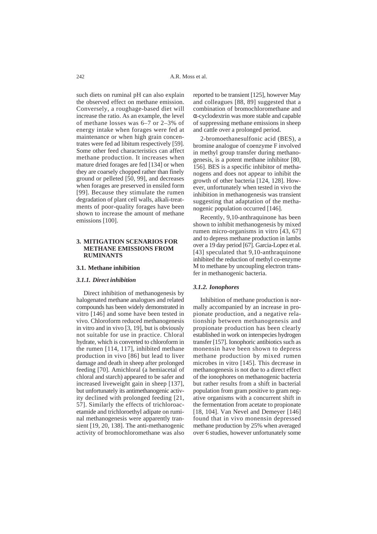such diets on ruminal pH can also explain the observed effect on methane emission. Conversely, a roughage-based diet will increase the ratio. As an example, the level of methane losses was 6–7 or 2–3% of energy intake when forages were fed at maintenance or when high grain concentrates were fed ad libitum respectively [59]. Some other feed characteristics can affect methane production. It increases when mature dried forages are fed [134] or when they are coarsely chopped rather than finely ground or pelleted [50, 99], and decreases when forages are preserved in ensiled form [99]. Because they stimulate the rumen degradation of plant cell walls, alkali-treatments of poor-quality forages have been shown to increase the amount of methane emissions [100].

# **3. MITIGATION SCENARIOS FOR METHANE EMISSIONS FROM RUMINANTS**

#### **3.1. Methane inhibition**

# *3.1.1. Direct inhibition*

Direct inhibition of methanogenesis by halogenated methane analogues and related compounds has been widely demonstrated in vitro [146] and some have been tested in vivo. Chloroform reduced methanogenesis in vitro and in vivo [3, 19], but is obviously not suitable for use in practice. Chloral hydrate, which is converted to chloroform in the rumen [114, 117], inhibited methane production in vivo [86] but lead to liver damage and death in sheep after prolonged feeding [70]. Amichloral (a hemiacetal of chloral and starch) appeared to be safer and increased liveweight gain in sheep [137], but unfortunately its antimethanogenic activity declined with prolonged feeding [21, 57]. Similarly the effects of trichloroacetamide and trichloroethyl adipate on ruminal methanogenesis were apparently transient [19, 20, 138]. The anti-methanogenic activity of bromochloromethane was also

reported to be transient [125], however May and colleagues [88, 89] suggested that a combination of bromochloromethane and α-cyclodextrin was more stable and capable of suppressing methane emissions in sheep and cattle over a prolonged period.

2-bromoethanesulfonic acid (BES), a bromine analogue of coenzyme F involved in methyl group transfer during methanogenesis, is a potent methane inhibitor [80, 156]. BES is a specific inhibitor of methanogens and does not appear to inhibit the growth of other bacteria [124, 128]. However, unfortunately when tested in vivo the inhibition in methanogenesis was transient suggesting that adaptation of the methanogenic population occurred [146].

Recently, 9,10-anthraquinone has been shown to inhibit methanogenesis by mixed rumen micro-organisms in vitro [43, 67] and to depress methane production in lambs over a 19 day period [67]. Garcia-Lopez et al. [43] speculated that 9,10-anthraquinone inhibited the reduction of methyl co-enzyme M to methane by uncoupling electron transfer in methanogenic bacteria.

# *3.1.2. Ionophores*

Inhibition of methane production is normally accompanied by an increase in propionate production, and a negative relationship between methanogenesis and propionate production has been clearly established in work on interspecies hydrogen transfer [157]. Ionophoric antibiotics such as monensin have been shown to depress methane production by mixed rumen microbes in vitro [145]. This decrease in methanogenesis is not due to a direct effect of the ionophores on methanogenic bacteria but rather results from a shift in bacterial population from gram positive to gram negative organisms with a concurrent shift in the fermentation from acetate to propionate [18, 104]. Van Nevel and Demeyer [146] found that in vivo monensin depressed methane production by 25% when averaged over 6 studies, however unfortunately some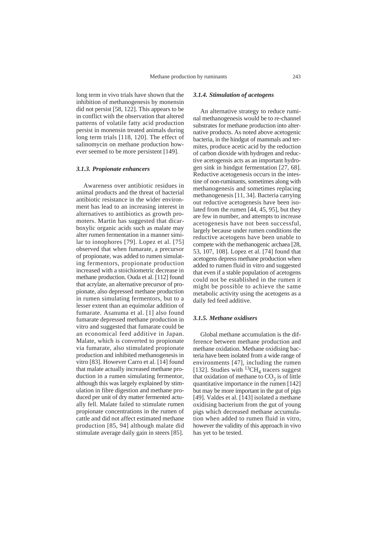long term in vivo trials have shown that the inhibition of methanogenesis by monensin did not persist [58, 122]. This appears to be in conflict with the observation that altered patterns of volatile fatty acid production persist in monensin treated animals during long term trials [118, 120]. The effect of salinomycin on methane production however seemed to be more persistent [149].

#### *3.1.3. Propionate enhancers*

Awareness over antibiotic residues in animal products and the threat of bacterial antibiotic resistance in the wider environment has lead to an increasing interest in alternatives to antibiotics as growth promoters. Martin has suggested that dicarboxylic organic acids such as malate may alter rumen fermentation in a manner similar to ionophores [79]. Lopez et al. [75] observed that when fumarate, a precursor of propionate, was added to rumen simulating fermentors, propionate production increased with a stoichiometric decrease in methane production. Ouda et al. [112] found that acrylate, an alternative precursor of propionate, also depressed methane production in rumen simulating fermentors, but to a lesser extent than an equimolar addition of fumarate. Asanuma et al. [1] also found fumarate depressed methane production in vitro and suggested that fumarate could be an economical feed additive in Japan. Malate, which is converted to propionate via fumarate, also stimulated propionate production and inhibited methanogenesis in vitro [83]. However Carro et al. [14] found that malate actually increased methane production in a rumen simulating fermentor, although this was largely explained by stimulation in fibre digestion and methane produced per unit of dry matter fermented actually fell. Malate failed to stimulate rumen propionate concentrations in the rumen of cattle and did not affect estimated methane production [85, 94] although malate did stimulate average daily gain in steers [85].

#### *3.1.4. Stimulation of acetogens*

An alternative strategy to reduce ruminal methanogenesis would be to re-channel substrates for methane production into alternative products. As noted above acetogenic bacteria, in the hindgut of mammals and termites, produce acetic acid by the reduction of carbon dioxide with hydrogen and reductive acetogensis acts as an important hydrogen sink in hindgut fermentation [27, 68]. Reductive acetogenesis occurs in the intestine of non-ruminants, sometimes along with methanogenesis and sometimes replacing methanogenesis [11, 34]. Bacteria carrying out reductive acetogenesis have been isolated from the rumen [44, 45, 95], but they are few in number, and attempts to increase acetogenesis have not been successful, largely because under rumen conditions the reductive acetogens have been unable to compete with the methanogenic archaea [28, 53, 107, 108]. Lopez et al. [74] found that acetogens depress methane production when added to rumen fluid in vitro and suggested that even if a stable population of acetogens could not be established in the rumen it might be possible to achieve the same metabolic activity using the acetogens as a daily fed feed additive.

#### *3.1.5. Methane oxidisers*

Global methane accumulation is the difference between methane production and methane oxidation. Methane oxidising bacteria have been isolated from a wide range of environments [47], including the rumen [132]. Studies with  ${}^{13}CH_4$  tracers suggest that oxidation of methane to  $CO<sub>2</sub>$  is of little quantitative importance in the rumen [142] but may be more important in the gut of pigs [49]. Valdes et al. [143] isolated a methane oxidising bacterium from the gut of young pigs which decreased methane accumulation when added to rumen fluid in vitro, however the validity of this approach in vivo has yet to be tested.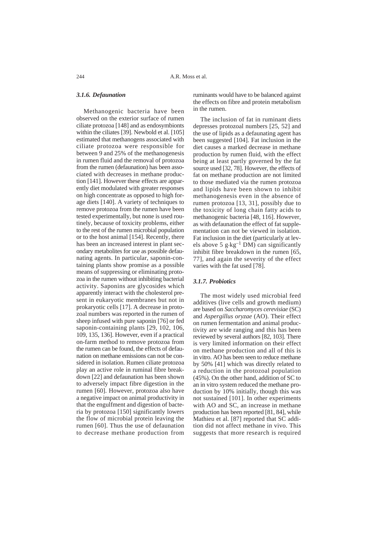#### *3.1.6. Defaunation*

Methanogenic bacteria have been observed on the exterior surface of rumen ciliate protozoa [148] and as endosymbionts within the ciliates [39]. Newbold et al. [105] estimated that methanogens associated with ciliate protozoa were responsible for between 9 and 25% of the methanogenesis in rumen fluid and the removal of protozoa from the rumen (defaunation) has been associated with decreases in methane production [141]. However these effects are apparently diet modulated with greater responses on high concentrate as opposed to high forage diets [140]. A variety of techniques to remove protozoa from the rumen have been tested experimentally, but none is used routinely, because of toxicity problems, either to the rest of the rumen microbial population or to the host animal [154]. Recently, there has been an increased interest in plant secondary metabolites for use as possible defaunating agents. In particular, saponin-containing plants show promise as a possible means of suppressing or eliminating protozoa in the rumen without inhibiting bacterial activity. Saponins are glycosides which apparently interact with the cholesterol present in eukaryotic membranes but not in prokaryotic cells [17]. A decrease in protozoal numbers was reported in the rumen of sheep infused with pure saponin [76] or fed saponin-containing plants [29, 102, 106, 109, 135, 136]. However, even if a practical on-farm method to remove protozoa from the rumen can be found, the effects of defaunation on methane emissions can not be considered in isolation. Rumen ciliate protozoa play an active role in ruminal fibre breakdown [22] and defaunation has been shown to adversely impact fibre digestion in the rumen [60]. However, protozoa also have a negative impact on animal productivity in that the engulfment and digestion of bacteria by protozoa [150] significantly lowers the flow of microbial protein leaving the rumen [60]. Thus the use of defaunation to decrease methane production from

ruminants would have to be balanced against the effects on fibre and protein metabolism in the rumen.

The inclusion of fat in ruminant diets depresses protozoal numbers [25, 52] and the use of lipids as a defaunating agent has been suggested [104]. Fat inclusion in the diet causes a marked decrease in methane production by rumen fluid, with the effect being at least partly governed by the fat source used [32, 78]. However, the effects of fat on methane production are not limited to those mediated via the rumen protozoa and lipids have been shown to inhibit methanogenesis even in the absence of rumen protozoa [13, 31], possibly due to the toxicity of long chain fatty acids to methanogenic bacteria [48, 116]. However, as with defaunation the effect of fat supplementation can not be viewed in isolation. Fat inclusion in the diet (particularly at levels above 5 g $\text{kg}^{-1}$  DM) can significantly inhibit fibre breakdown in the rumen [65, 77], and again the severity of the effect varies with the fat used [78].

# *3.1.7. Probiotics*

The most widely used microbial feed additives (live cells and growth medium) are based on *Saccharomyces cerevisiae* (SC) and *Aspergillus oryzae* (AO). Their effect on rumen fermentation and animal productivity are wide ranging and this has been reviewed by several authors [82, 103]. There is very limited information on their effect on methane production and all of this is in vitro. AO has been seen to reduce methane by 50% [41] which was directly related to a reduction in the protozoal population (45%). On the other hand, addition of SC to an in vitro system reduced the methane production by 10% initially, though this was not sustained [101]. In other experiments with AO and SC, an increase in methane production has been reported [81, 84], while Mathieu et al. [87] reported that SC addition did not affect methane in vivo. This suggests that more research is required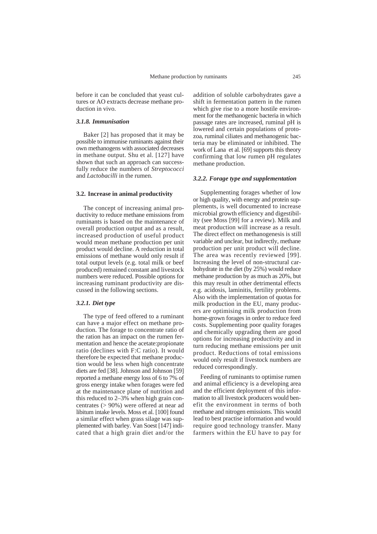before it can be concluded that yeast cultures or AO extracts decrease methane production in vivo.

# *3.1.8. Immunisation*

Baker [2] has proposed that it may be possible to immunise ruminants against their own methanogens with associated decreases in methane output. Shu et al. [127] have shown that such an approach can successfully reduce the numbers of *Streptococci* and *Lactobacilli* in the rumen.

#### **3.2. Increase in animal productivity**

The concept of increasing animal productivity to reduce methane emissions from ruminants is based on the maintenance of overall production output and as a result, increased production of useful product would mean methane production per unit product would decline. A reduction in total emissions of methane would only result if total output levels (e.g. total milk or beef produced) remained constant and livestock numbers were reduced. Possible options for increasing ruminant productivity are discussed in the following sections.

### *3.2.1. Diet type*

The type of feed offered to a ruminant can have a major effect on methane production. The forage to concentrate ratio of the ration has an impact on the rumen fermentation and hence the acetate:propionate ratio (declines with F:C ratio). It would therefore be expected that methane production would be less when high concentrate diets are fed [38]. Johnson and Johnson [59] reported a methane energy loss of 6 to 7% of gross energy intake when forages were fed at the maintenance plane of nutrition and this reduced to 2–3% when high grain concentrates (> 90%) were offered at near ad libitum intake levels. Moss et al. [100] found a similar effect when grass silage was supplemented with barley. Van Soest [147] indicated that a high grain diet and/or the

addition of soluble carbohydrates gave a shift in fermentation pattern in the rumen which give rise to a more hostile environment for the methanogenic bacteria in which passage rates are increased, ruminal pH is lowered and certain populations of protozoa, ruminal ciliates and methanogenic bacteria may be eliminated or inhibited. The work of Lana et al. [69] supports this theory confirming that low rumen pH regulates methane production.

### *3.2.2. Forage type and supplementation*

Supplementing forages whether of low or high quality, with energy and protein supplements, is well documented to increase microbial growth efficiency and digestibility (see Moss [99] for a review). Milk and meat production will increase as a result. The direct effect on methanogenesis is still variable and unclear, but indirectly, methane production per unit product will decline. The area was recently reviewed [99]. Increasing the level of non-structural carbohydrate in the diet (by 25%) would reduce methane production by as much as 20%, but this may result in other detrimental effects e.g. acidosis, laminitis, fertility problems. Also with the implementation of quotas for milk production in the EU, many producers are optimising milk production from home-grown forages in order to reduce feed costs. Supplementing poor quality forages and chemically upgrading them are good options for increasing productivity and in turn reducing methane emissions per unit product. Reductions of total emissions would only result if livestock numbers are reduced correspondingly.

Feeding of ruminants to optimise rumen and animal efficiency is a developing area and the efficient deployment of this information to all livestock producers would benefit the environment in terms of both methane and nitrogen emissions. This would lead to best practise information and would require good technology transfer. Many farmers within the EU have to pay for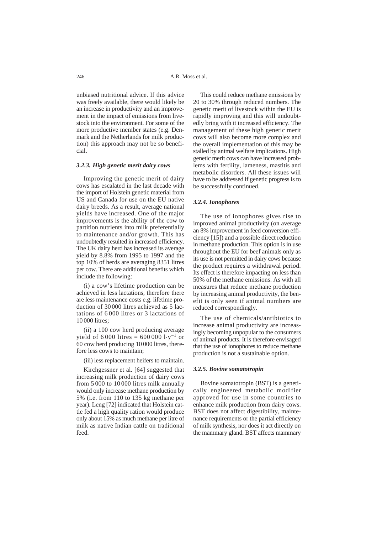unbiased nutritional advice. If this advice was freely available, there would likely be an increase in productivity and an improvement in the impact of emissions from livestock into the environment. For some of the more productive member states (e.g. Denmark and the Netherlands for milk production) this approach may not be so beneficial.

#### *3.2.3. High genetic merit dairy cows*

Improving the genetic merit of dairy cows has escalated in the last decade with the import of Holstein genetic material from US and Canada for use on the EU native dairy breeds. As a result, average national yields have increased. One of the major improvements is the ability of the cow to partition nutrients into milk preferentially to maintenance and/or growth. This has undoubtedly resulted in increased efficiency. The UK dairy herd has increased its average yield by 8.8% from 1995 to 1997 and the top 10% of herds are averaging 8351 litres per cow. There are additional benefits which include the following:

(i) a cow's lifetime production can be achieved in less lactations, therefore there are less maintenance costs e.g. lifetime production of 30 000 litres achieved as 5 lactations of 6 000 litres or 3 lactations of 10 000 litres;

(ii) a 100 cow herd producing average yield of 6 000 litres =  $6000001 \cdot y^{-1}$  or 60 cow herd producing 10 000 litres, therefore less cows to maintain;

(iii) less replacement heifers to maintain.

Kirchgessner et al. [64] suggested that increasing milk production of dairy cows from 5 000 to 10 000 litres milk annually would only increase methane production by 5% (i.e. from 110 to 135 kg methane per year). Leng [72] indicated that Holstein cattle fed a high quality ration would produce only about 15% as much methane per litre of milk as native Indian cattle on traditional feed.

This could reduce methane emissions by 20 to 30% through reduced numbers. The genetic merit of livestock within the EU is rapidly improving and this will undoubtedly bring with it increased efficiency. The management of these high genetic merit cows will also become more complex and the overall implementation of this may be stalled by animal welfare implications. High genetic merit cows can have increased problems with fertility, lameness, mastitis and metabolic disorders. All these issues will have to be addressed if genetic progress is to be successfully continued.

#### *3.2.4. Ionophores*

The use of ionophores gives rise to improved animal productivity (on average an 8% improvement in feed conversion efficiency [15]) and a possible direct reduction in methane production. This option is in use throughout the EU for beef animals only as its use is not permitted in dairy cows because the product requires a withdrawal period. Its effect is therefore impacting on less than 50% of the methane emissions. As with all measures that reduce methane production by increasing animal productivity, the benefit is only seen if animal numbers are reduced correspondingly.

The use of chemicals/antibiotics to increase animal productivity are increasingly becoming unpopular to the consumers of animal products. It is therefore envisaged that the use of ionophores to reduce methane production is not a sustainable option.

#### *3.2.5. Bovine somatotropin*

Bovine somatotropin (BST) is a genetically engineered metabolic modifier approved for use in some countries to enhance milk production from dairy cows. BST does not affect digestibility, maintenance requirements or the partial efficiency of milk synthesis, nor does it act directly on the mammary gland. BST affects mammary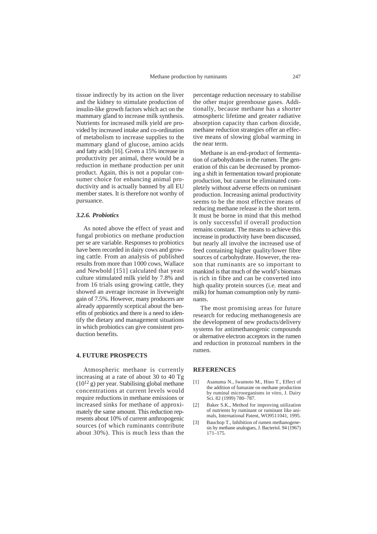tissue indirectly by its action on the liver and the kidney to stimulate production of insulin-like growth factors which act on the mammary gland to increase milk synthesis. Nutrients for increased milk yield are provided by increased intake and co-ordination of metabolism to increase supplies to the mammary gland of glucose, amino acids and fatty acids [16]. Given a 15% increase in productivity per animal, there would be a reduction in methane production per unit product. Again, this is not a popular consumer choice for enhancing animal productivity and is actually banned by all EU member states. It is therefore not worthy of pursuance.

#### *3.2.6. Probiotics*

As noted above the effect of yeast and fungal probiotics on methane production per se are variable. Responses to probiotics have been recorded in dairy cows and growing cattle. From an analysis of published results from more than 1000 cows, Wallace and Newbold [151] calculated that yeast culture stimulated milk yield by 7.8% and from 16 trials using growing cattle, they showed an average increase in liveweight gain of 7.5%. However, many producers are already apparently sceptical about the benefits of probiotics and there is a need to identify the dietary and management situations in which probiotics can give consistent production benefits.

#### **4. FUTURE PROSPECTS**

Atmospheric methane is currently increasing at a rate of about 30 to 40 Tg  $(10^{12} \text{ g})$  per year. Stabilising global methane concentrations at current levels would require reductions in methane emissions or increased sinks for methane of approximately the same amount. This reduction represents about 10% of current anthropogenic sources (of which ruminants contribute about 30%). This is much less than the

percentage reduction necessary to stabilise the other major greenhouse gases. Additionally, because methane has a shorter atmospheric lifetime and greater radiative absorption capacity than carbon dioxide, methane reduction strategies offer an effective means of slowing global warming in the near term.

Methane is an end-product of fermentation of carbohydrates in the rumen. The generation of this can be decreased by promoting a shift in fermentation toward propionate production, but cannot be eliminated completely without adverse effects on ruminant production. Increasing animal productivity seems to be the most effective means of reducing methane release in the short term. It must be borne in mind that this method is only successful if overall production remains constant. The means to achieve this increase in productivity have been discussed, but nearly all involve the increased use of feed containing higher quality/lower fibre sources of carbohydrate. However, the reason that ruminants are so important to mankind is that much of the world's biomass is rich in fibre and can be converted into high quality protein sources (i.e. meat and milk) for human consumption only by ruminants.

The most promising areas for future research for reducing methanogenesis are the development of new products/delivery systems for antimethanogenic compounds or alternative electron acceptors in the rumen and reduction in protozoal numbers in the rumen.

#### **REFERENCES**

- [1] Asanuma N., Iwamoto M., Hino T., Effect of the addition of fumarate on methane production by ruminal microorganisms in vitro, J. Dairy Sci. 82 (1999) 780–787.
- [2] Baker S.K., Method for improving utilization of nutrients by ruminant or ruminant like animals, International Patent, WO9511041, 1995.
- [3] Bauchop T., Inhibition of rumen methanogenesis by methane analogues, J. Bacteriol. 94 (1967) 171–175.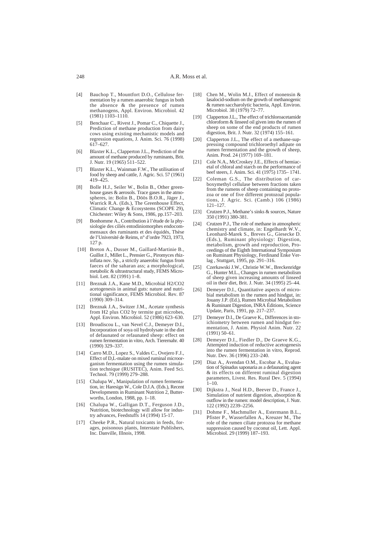- [4] Bauchop T., Mountfort D.O., Cellulose fermentation by a rumen anaerobic fungus in both the absence & the presence of rumen methanogens, Appl. Environ. Microbiol. 42 (1981) 1103–1110.
- [5] Benchaar C., Rivest J., Pomar C., Chiquette J., Prediction of methane production from dairy cows using existing mechanistic models and regression equations, J. Anim. Sci. 76 (1998) 617–627.
- [6] Blaxter K.L., Clapperton J.L., Prediction of the amount of methane produced by ruminants, Brit. J. Nutr. 19 (1965) 511–522.
- [7] Blaxter K.L., Wainman F.W., The utilisation of food by sheep and cattle, J. Agric. Sci. 57 (1961)  $419 - 425$
- [8] Bolle H.J., Seiler W., Bolin B., Other greenhouse gases & aerosols. Trace gases in the atmospheres, in: Bolin B., Döös B.O.R., Jäger J., Warrick R.A. (Eds.), The Greenhouse Effect, Climatic Change & Ecosystems (SCOPE 29), Chichester: Wiley & Sons, 1986, pp.157–203.
- [9] Bonhomme A., Contribution à l'étude de la physiologie des ciliés entodiniomorphes endocommensaux des ruminants et des équidés, Thèse de l'Université de Reims, n° d'ordre 7923, 1973, 127 p.
- [10] Breton A., Dusser M., Gaillard-Martinie B., Guillot J., Millet L., Prensier G., Piromyces rhizinflata nov. Sp., a strictly anaerobic fungus from faeces of the saharan ass; a morphological, metabolic & ultrastructural study, FEMS Microbiol. Lett. 82 (1991) 1–8.
- [11] Breznak J.A., Kane M.D., Microbial H2/CO2 acetogenesis in animal guts: nature and nutritional significance, FEMS Microbiol. Rev. 87 (1990) 309–314.
- [12] Breznak J.A., Switzer J.M., Acetate synthesis from H2 plus CO2 by termite gut microbes, Appl. Environ. Microbiol. 52 (1986) 623–630.
- [13] Broudiscou L., van Nevel C.J., Demeyer D.I., Incorporation of soya oil hydrolysate in the diet of defaunated or refaunated sheep: effect on rumen fermentation in vitro, Arch. Tierernahr. 40 (1990) 329–337.
- [14] Carro M.D., Lopez S., Valdes C., Ovejero F.J., Effect of D.L-malate on mixed ruminal microorganism fermentation using the rumen simulation technique (RUSITEC), Anim. Feed Sci. Technol. 79 (1999) 279–288.
- [15] Chalupa W., Manipulation of rumen fermentation, in: Haresign W., Cole D.J.A. (Eds.), Recent Developments in Ruminant Nutrition 2, Butterworths, London, 1988, pp. 1–18.
- [16] Chalupa W., Galligan D.T., Ferguson J.D., Nutrition, biotechnology will allow for industry advances, Feedstuffs 14 (1994) 15-17.
- [17] Cheeke P.R., Natural toxicants in feeds, forages, poisonous plants, Interstate Publishers, Inc. Danville, Illnois, 1998.
- [18] Chen M., Wolin M.J., Effect of monensin & lasalocid-sodium on the growth of methanogenic & rumen saccharolytic bacteria, Appl. Environ. Microbiol. 38 (1979) 72–77.
- [19] Clapperton J.L., The effect of trichloroacetamide chloroform & linseed oil given into the rumen of sheep on some of the end products of rumen digestion, Brit. J. Nutr. 32 (1974) 155–161.
- [20] Clapperton J.L., The effect of a methane-suppressing compound trichloroethyl adipate on rumen fermentation and the growth of sheep, Anim. Prod. 24 (1977) 169–181.
- [21] Cole N.A., McCroskey J.E., Effects of hemiacetal of chloral and starch on the performance of beef steers, J. Anim. Sci. 41 (1975) 1735– 1741.
- [22] Coleman G.S., The distribution of carboxymethyl cellulase between fractions taken from the rumens of sheep containing no protozoa or one of five different protozoal populations, J. Agric. Sci. (Camb.) 106 (1986) 121–127.
- [23] Crutzen P.J., Methane's sinks & sources, Nature 350 (1991) 380-381.
- [24] Crutzen P.J., The role of methane in atmospheric chemistry and climate, in: Engelhardt W.V., Leonhard-Marek S., Breves G., Giesecke D. (Eds.), Ruminant physiology: Digestion, metabolism, growth and reproduction, Proceedings of the Eighth International Symposium on Ruminant Physiology, Ferdinand Enke Verlag , Stuttgart, 1995, pp. 291–316.
- [25] Czerkawski J.W., Christie W.W., Breckenridge G., Hunter M.L., Changes in rumen metabolism of sheep given increasing amounts of linseed oil in their diet, Brit. J. Nutr. 34 (1995) 25–44.
- Demeyer D.I., Quantitative aspects of microbial metabolism in the rumen and hindgut, in: Jouany J.P. (Ed.), Rumen Microbial Metabolism & Ruminant Digestion, INRA Éditions, Science Update, Paris, 1991, pp. 217–237.
- [27] Demeyer D.I., De Graeve K., Differences in stoichiometry between rumen and hindgut fermentation, J. Anim. Physiol Anim. Nutr. 22 (1991) 50–61.
- [28] Demeyer D.I., Fiedler D., De Graeve K.G., Attempted induction of reductive acetogenesis into the rumen fermentation in vitro, Reprod. Nutr. Dev. 36 (1996) 233–240.
- [29] Diaz A., Avendan O.M., Escobar A., Evaluation of Spinadus saponaria as a defaunating agent & its effects on different ruminal digestion parameters, Livest. Res. Rural Dev. 5 (1994)  $1 - 10$ .
- [30] Dijkstra J., Neal H.D., Beever D., France J., Simulation of nutrient digestion, absorption & outflow in the rumen: model description, J. Nutr. 122 (1992) 2239–2256.
- [31] Dohme F., Machmuller A., Estermann B.L., Pfister P., Wasserfallen A., Kreuzer M., The role of the rumen ciliate protozoa for methane suppression caused by coconut oil, Lett. Appl. Microbiol. 29 (1999) 187–193.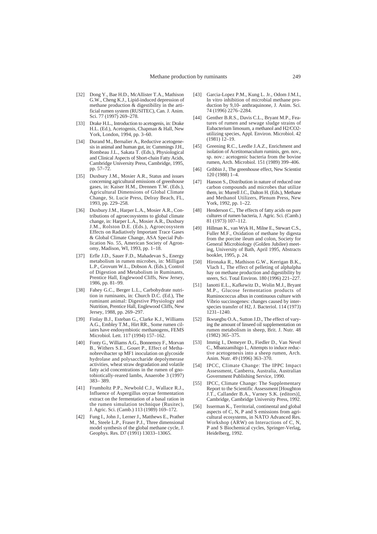- [32] Dong Y., Bae H.D., McAllister T.A., Mathison G.W., Cheng K.J., Lipid-induced depression of methane production  $\&$  digestibility in the artificial rumen system (RUSITEC), Can. J. Anim. Sci. 77 (1997) 269–278.
- [33] Drake H.L., Introduction to acetogenis, in: Drake H.L. (Ed.), Acetogenis, Chapman & Hall, New York, London, 1994, pp. 3–60.
- [34] Durand M., Bernalier A., Reductive acetogenesis in animal and human gut, in: Cummings J.H., Rombeau J.L., Sakata T. (Eds.), Physiological and Clinical Aspects of Short-chain Fatty Acids, Cambridge University Press, Cambridge, 1995, pp. 57–72.
- [35] Duxbury J.M., Mosier A.R., Status and issues concerning agricultural emissions of greenhouse gases, in: Kaiser H.M., Drennen T.W. (Eds.), Agricultural Dimensions of Global Climate Change, St. Lucie Press, Delray Beach, FL, 1993, pp. 229–258.
- [36] Duxbury J.M., Harper L.A., Mosier A.R., Contributions of agroecosystems to global climate change, in: Harper L.A., Mosier A.R., Duxbury J.M., Rolston D.E. (Eds.), Agroecosystem Effects on Radiatively Important Trace Gases & Global Climate Change, ASA Special Publication No. 55, American Society of Agronomy, Madison, WI, 1993, pp. 1–18.
- [37] Erfle J.D., Sauer F.D., Mahadevan S., Energy metabolism in rumen microbes, in: Milligan L.P., Grovum W.L., Dobson A. (Eds.), Control of Digestion and Metabolism in Ruminants, Prentice Hall, Englewood Cliffs, New Jersey, 1986, pp. 81–99.
- [38] Fahey G.C., Berger L.L., Carbohydrate nutrition in ruminants, in: Church D.C. (Ed.), The ruminant animal: Digestive Physiology and Nutrition, Prentice Hall, Englewood Cliffs, New Jersey, 1988, pp. 269–297.
- [39] Finlay B.J., Esteban G., Clarke K.J., Williams A.G., Embley T.M., Hirt RR., Some rumen ciliates have endosymbiotic methanogens, FEMS Microbiol. Lett. 117 (1994) 157–162.
- [40] Fonty G., Williams A.G., Bonnemoy F., Morvan B., Withers S.E., Gouet P., Effect of Methanobrevibacter sp MF1 inoculation on glycoside hydrolase and polysaccharide depolymerase activities, wheat straw degradation and volatile fatty acid concentrations in the rumen of gnotobiotically-reared lambs, Anaerobe 3 (1997) 383– 389.
- [41] Frumholtz P.P., Newbold C.J., Wallace R.J., Influence of Aspergillus oryzae fermentation extract on the fermentation of a basal ration in the rumen simulation technique (Rusitec), J. Agric. Sci. (Camb.) 113 (1989) 169–172.
- [42] Fung I., John J., Lerner J., Matthews E., Prather M., Steele L.P., Fraser P.J., Three dimensional model synthesis of the global methane cycle, J. Geophys. Res. D7 (1991) 13033–13065.
- [43] Garcia-Lopez P.M., Kung L. Jr., Odom J.M.I., In vitro inhibition of microbial methane production by 9,10- anthraquinone, J. Anim. Sci. 74 (1996) 2276–2284.
- [44] Genther B.R.S., Davis C.L., Bryant M.P., Features of rumen and sewage sludge strains of Eubacterium limosum, a methanol and H2/CO2 utilizing species, Appl. Environ. Microbiol. 42  $(1981)$   $12-19$ .
- [45] Greening R.C., Leedle J.A.Z., Enrichment and isolation of Acetitomaculum ruminis, gen. nov., sp. nov.: acetogenic bacteria from the bovine rumen, Arch. Microbiol. 151 (1989) 399–406.
- [46] Gribbin J., The greenhouse effect, New Scientist 120 (1988) 1–4.
- [47] Hanson S., Distribution in nature of reduced one carbon compounds and microbes that utilize them, in: Murrell J.C., Dalton H. (Eds.), Methane and Methanol Utilizers, Plenum Press, New York, 1992, pp. 1–22.
- [48] Henderson C., The effects of fatty acids on pure cultures of rumen bacteria, J. Agric. Sci. (Camb.) 81 (1973) 107–112.
- [49] Hillman K., van Wyk H., Milne E., Stewart C.S., Fuller M.F., Oxidation of methane by digesta from the porcine ileum and colon, Society for General Microbiology (Golden Jubilee) meeting, University of Bath, April 1995, Abstracts booklet, 1995, p. 24.
- [50] Hironaka R., Mathison G.W., Kerrigan B.K., Vlach I., The effect of pelleting of alphalpha hay on methane production and digestibility by steers, Sci. Total Environ. 180 (1996) 221–227.
- [51] Ianotti E.L., Kafkewitz D., Wolin M.J., Bryant M.P., Glucose fermentation products of Ruminococcus albus in continuous culture with Vibrio succinogenes: changes caused by interspecies transfer of H2, J. Bacteriol. 114 (1973) 1231–1240.
- [52] Ikwuegbu O.A., Sutton J.D., The effect of varying the amount of linseed oil supplementation on rumen metabolism in sheep, Brit. J. Nutr. 48 (1982) 365–375.
- [53] Immig I., Demeyer D., Fiedler D., Van Nevel C., Mbanzamihigo I., Attempts to induce reductive acetogenesis into a sheep rumen, Arch. Anim. Nutr. 49 (1996) 363–370.
- [54] IPCC, Climate Change: The IPPC Impact Assessment, Canberra, Australia, Australian Government Publishing Service, 1990.
- [55] IPCC, Climate Change: The Supplementary Report to the Scientific Assessment [Houghton J.T., Callander B.A., Varney S.K. (editors)], Cambridge, Cambridge University Press, 1992.
- [56] Isserman K., Territorial, continental and global aspects of C, N, P and S emissions from agricultural ecosystems, in NATO Advanced Res. Workshop (ARW) on Interactions of C, N, P and S Biochemical cycles, Springer-Verlag, Heidelberg, 1992.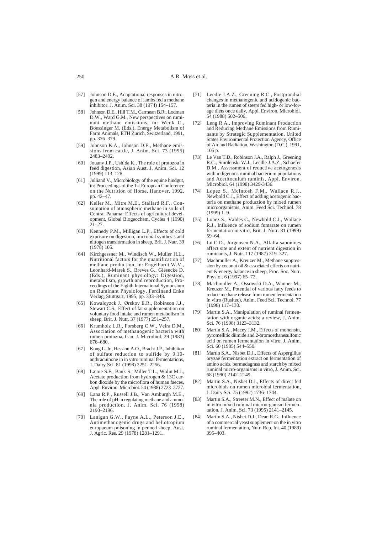- [57] Johnson D.E., Adaptational responses in nitrogen and energy balance of lambs fed a methane inhibitor, J. Anim. Sci. 38 (1974) 154–157.
- [58] Johnson D.E., Hill T.M., Carmean B.R., Lodman D.W., Ward G.M., New perspectives on ruminant methane emissions, in: Wenk C., Boessinger M. (Eds.), Energy Metabolism of Farm Animals, ETH Zurich, Switzerland, 1991, pp. 376–379.
- [59] Johnson K.A., Johnson D.E., Methane emissions from cattle, J. Anim. Sci. 73 (1995) 2483–2492.
- [60] Jouany J.P., Ushida K., The role of protozoa in feed digestion, Asian Aust. J. Anim. Sci. 12 (1999) 113–128.
- [61] Julliand V., Microbiology of the equine hindgut, in: Proceedings of the 1st European Conference on the Nutrition of Horse, Hanover, 1992, pp. 42–47.
- [62] Keller M., Mitre M.E., Stallard R.F., Consumption of atmospheric methane in soils of Central Panama: Effects of agricultural development, Global Biogeochem. Cycles 4 (1990)  $21 - 27$
- [63] Kennedy P.M., Milligan L.P., Effects of cold exposure on digestion, microbial synthesis and nitrogen transformation in sheep, Brit. J. Nutr. 39 (1978) 105.
- [64] Kirchgessner M., Windisch W., Muller H.L., Nutritional factors for the quantification of methane production, in: Engelhardt W.V., Leonhard-Marek S., Breves G., Giesecke D. (Eds.), Ruminant physiology: Digestion, metabolism, growth and reproduction, Proceedings of the Eighth International Symposium on Ruminant Physiology, Ferdinand Enke Verlag, Stuttgart, 1995, pp. 333–348.
- [65] Kowalcyzck J., Ørskov E.R., Robinson J.J., Stewart C.S., Effect of fat supplementation on voluntary food intake and rumen metabolism in sheep, Brit. J. Nutr. 37 (1977) 251–257.
- [66] Krumholz L.R., Forsberg C.W., Veira D.M., Association of methanogenic bacteria with rumen protozoa, Can. J. Microbiol. 29 (1983) 676–680.
- [67] Kung L. Jr., Hession A.O., Bracht J.P., Inhibition of sulfate reduction to sulfide by 9,10 anthraquinone in in vitro ruminal fermentations, J. Dairy Sci. 81 (1998) 2251–2256.
- [68] Lajoie S.F., Bank S., Miller T.L., Wolin M.J., Acetate production from hydrogen & 13C carbon dioxide by the microflora of human faeces, Appl. Environ. Microbiol. 54 (1988) 2723–2727.
- [69] Lana R.P., Russell J.B., Van Amburgh M.E., The role of pH in regulating methane and ammonia production, J. Anim. Sci. 76 (1998) 2190–2196.
- [70] Lanigan G.W., Payne A.L., Peterson J.E., Antimethanogenic drugs and heliotropium europaeum poisoning in penned sheep, Aust. J. Agric. Res. 29 (1978) 1281–1291.
- [71] Leedle J.A.Z., Greening R.C., Postprandial changes in methanogenic and acidogenic bacteria in the rumen of steers fed high- or low-forage diets once daily, Appl. Environ. Microbiol. 54 (1988) 502–506.
- [72] Leng R.A., Improving Ruminant Production and Reducing Methane Emissions from Ruminants by Strategic Supplementation, United States Environmental Protection Agency, Office of Air and Radiation, Washington  $(D.C.)$ , 1991, 105 p.
- [73] Le Van T.D., Robinson J.A., Ralph J., Greening R.C., Smolenski W.J., Leedle J.A.Z., Schaefer D.M., Assessment of reductive acetogenesis with indigenous ruminal bacterium populations and Acetitoculum ruminis, Appl. Environ. Microbiol. 64 (1998) 3429-3436.
- [74] Lopez S., McIntosh F.M., Wallace R.J., Newbold C.J., Effect of adding acetogenic bacteria on methane production by mixed rumen microorganisms, Anim. Feed Sci. Technol. 78  $(1999)$  1–9.
- [75] Lopez S., Valdes C., Newbold C.J., Wallace R.J., Influence of sodium fumarate on rumen fermentation in vitro, Brit. J. Nutr. 81 (1999) 59–64.
- [76] Lu C.D., Jorgensen N.A., Alfalfa saponines affect site and extent of nutrient digestion in ruminants, J. Nutr. 117 (1987) 319–327.
- [77] Machmuller A., Kreuzer M., Methane suppression by coconut oil & associated effects on nutrient & energy balance in sheep, Proc. Soc. Nutr. Physiol. 6 (1997) 65–72.
- [78] Machmuller A., Ossowski D.A., Wanner M., Kreuzer M., Potential of various fatty feeds to reduce methane release from rumen fermentation in vitro (Rusitec), Anim. Feed Sci. Technol. 77 (1998) 117–130.
- [79] Martin S.A., Manipulation of ruminal fermentation with organic acids: a review, J. Anim. Sci. 76 (1998) 3123–3132.
- [80] Martin S.A., Macey J.M., Effects of monensin, pyromellitic diimide and 2-bromoethanesulfonic acid on rumen fermentation in vitro, J. Anim. Sci. 60 (1985) 544–550.
- [81] Martin S.A., Nisbet D.J., Effects of Aspergillus oryzae fermentation extract on fermentation of amino acids, bermudagrass and starch by mixed ruminal micro-organisms in vitro, J. Anim. Sci. 68 (1990) 2142–2149.
- [82] Martin S.A., Nisbet D.J., Effects of direct fed microbials on rumen microbial fermentation, J. Dairy Sci. 75 (1992) 1736–1744.
- [83] Martin S.A., Streeter M.N., Effect of malate on in vitro mixed ruminal microorganism fermentation, J. Anim. Sci. 73 (1995) 2141–2145.
- [84] Martin S.A., Nisbet D.J., Dean R.G., Influence of a commercial yeast supplement on the in vitro ruminal fermentation, Nutr. Rep. Int. 40 (1989) 395–403.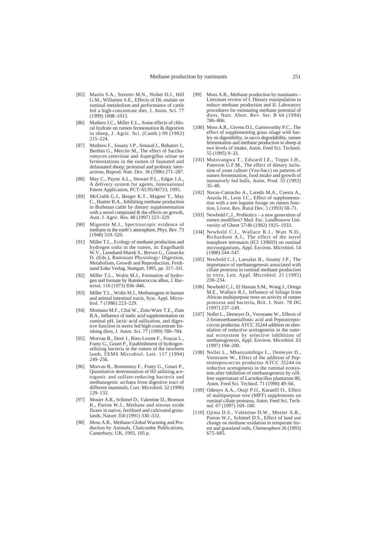- [85] Martin S.A., Streeter M.N., Nisbet D.J., Hill G.M., Willamns S.E., Effects of DL-malate on ruminal metabolism and performance of cattle fed a high-concentrate diet, J. Anim. Sci. 77 (1999) 1008–1015.
- [86] Mathers J.C., Miller E.L., Some effects of chloral hydrate on rumen fermentation & digestion in sheep, J. Agric. Sci. (Camb.) 99 (1982) 215–224.
- [87] Mathieu F., Jouany J.P., Senaud J., Bohatier J., Berthin G., Mercier M., The effect of Saccharomyces cerevisiae and Aspergillus orizae on fermentations in the rumen of faunated and defaunated sheep; protozoal and probiotic interactions, Reprod. Nutr. Dev. 36 (1996) 271–287.
- [88] May C., Payne A.L., Stewart P.L., Edgar J.A., A delivery system for agents, International Patent Application, PCT/AU95/00733, 1995.
- [89] McCrabb G.J., Berger K.T., Magner T., May C., Hunter R.A., Inhibiting methane production in Brahman cattle by dietary supplementation with a novel compound & the effects on growth, Aust. J. Agric. Res. 48 (1997) 323–329.
- [90] Migeotte M.J., Spectroscopic evidence of methane in the earth's atmosphere, Phys. Rev. 73 (1948) 519–520.
- [91] Miller T.L., Ecology of methane production and hydrogen sinks in the rumen, in: Engelhardt W.V., Leonhard-Marek S., Breves G., Giesecke D. (Eds.), Ruminant Physiology: Digestion, Metabolism, Growth and Reproduction, Ferdinand Enke Verlag, Stuttgart, 1995, pp. 317–331.
- [92] Miller T.L., Wolin M.J., Formation of hydrogen and formate by Ruminococcus albus, J. Bacteriol. 116 (1973) 836–846.
- [93] Miller T.L., Wolin M.J., Methanogens in human and animal intestinal tracts, Syst. Appl. Microbiol. 7 (1986) 223–229.
- [94] Montano M.F., Chai W., Zinn-Ware T.E., Zinn R.A., Influence of malic acid supplementation on ruminal pH, lactic acid utilization, and digestive function in steers fed high-concentrate finishing diets, J. Anim. Sci. 77 (1999) 780–784.
- [95] Morvan B., Doré J., Rieu-Lesme F., Foucat L., Fonty G., Gouet P., Establishment of hydrogenutilizing bacteria in the rumen of the newborn lamb, FEMS Microbiol. Lett. 117 (1994) 249–256.
- [96] Morvan B., Bonnemoy F., Fonty G., Gouet P., Quantitative determination of H2-utilizing acetogenic and sulfate-reducing bacteria and methanogenic archaea from digestive tract of different mammals, Curr. Microbiol. 32 (1996) 129–133.
- [97] Mosier A.R., Schimel D., Valentine D., Bronson K., Parton W.J., Methane and nitrous oxide fluxes in native, fertilised and cultivated grasslands, Nature 350 (1991) 330–332.
- [98] Moss A.R., Methane-Global Warming and Production by Animals, Chalcombe Publications, Canterbury, UK, 1993, 105 p.
- [99] Moss A.R., Methane production by ruminants Literature review of I. Dietary manipulation to reduce methane production and II. Laboratory procedures for estimating methane potential of diets, Nutr. Abstr. Rev. Ser. B  $64$  (1994) 786–806.
- [100] Moss A.R., Givens D.I., Garnsworthy P.C., The effect of supplementing grass silage with barley on digestibility, in sacco degradability, rumen fermentation and methane production in sheep at two levels of intake, Anim. Feed Sci. Technol. 55 (1995) 9–33.
- [101] Mutsvangwa T., Edward I.E., Topps J.H., Paterson G.F.M., The effect of dietary inclusion of yeast culture (Yea-Sacc) on patterns of rumen fermentation, food intake and growth of intensively fed bulls, Anim. Prod. 55 (1992)  $35-40.$
- [102] Navas-Camacho A., Laredo M.A., Cuesta A., Anzola H., Leon J.C., Effect of supplementation with a tree legume forage on rumen function, Livest. Res. Rural Dev. 5 (1993) 58–71.
- [103] Newbold C.J., Probiotics a new generation of rumen modifiers? Med. Fac. Landbouww University of Ghent 57/4b (1992) 1925–1933.
- [104] Newbold C.J., Wallace R.J., Watt N.D., Richardson A.J., The effect of the novel ionophore tetronasin (ICI 139603) on ruminal microorganisms, Appl. Environ. Microbiol. 54 (1988) 544–547.
- [105] Newbold C.J., Lassalas B., Jouany J.P., The importance of methanogenesis associated with ciliate protozoa in ruminal methane production in vitro, Lett. Appl. Microbiol. 21 (1995) 230–234.
- [106] Newbold C.J., El Hassan S.M., Wang J., Ortega M.E., Wallace R.J., Influence of foliage from African multipurpose trees on activity of rumen protozoa and bacteria, Brit. J. Nutr. 78 DG (1997) 237–249.
- [107] Nollet L., Demeyer D., Verstraete W., Effects of 2-bromoethanesulfonic acid and Peptostreptococcus productus ATCC 35244 addition on stimulation of reductive acetogenesis in the ruminal ecosystem by selective inhibition of methanogenesis, Appl. Environ. Microbiol. 63 (1997) 194–200.
- [108] Nollet L., Mbanzamihigo L., Demeyer D., Verstraete W., Effect of the addition of Peptostreptococcus productus ATCC 35244 on reductive acetogenesis in the ruminal ecosystem after inhibition of methanogenesis by cellfree supernatant of Lactobacillus plantarum 80, Anim. Feed Sci. Technol. 71 (1998) 49–66.
- [109] Odenyo A.A., Osuji P.O., Karanfil O., Effect of multipurpose tree (MPT) supplements on ruminal ciliate protozoa, Anim. Feed Sci. Technol. 67 (1997) 169–180.
- [110] Ojima D.S., Valentine D.W., Mosier A.R., Parton W.J., Schimel D.S., Effect of land use change on methane oxidation in temperate forest and grassland soils, Chemosphere 26 (1993) 675–685.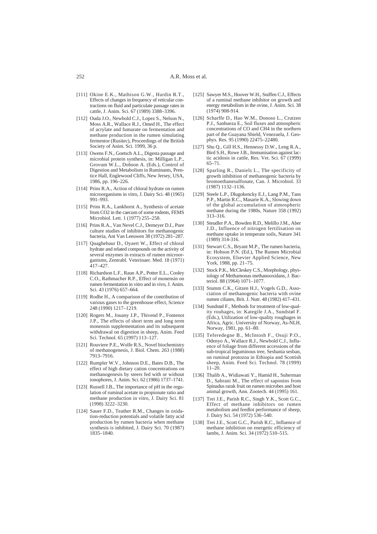- [111] Okine E.K., Mathison G.W., Hardin R.T., Effects of changes in frequency of reticular contractions on fluid and particulate passage rates in cattle, J. Anim. Sci. 67 (1989) 3388–3396.
- [112] Ouda J.O., Newbold C.J., Lopez S., Nelson N., Moss A.R., Wallace R.J., Omed H., The effect of acrylate and fumarate on fermentation and methane production in the rumen simulating fermentor (Rusitec), Proceedings of the British Society of Anim. Sci. 1999, 36 p.
- [113] Owens F.N., Goetsch A.L., Digesta passage and microbial protein synthesis, in: Milligan L.P., Grovum W.L., Dobson A. (Eds.), Control of Digestion and Metabolism in Ruminants, Prentice Hall, Englewood Cliffs, New Jersey, USA, 1986, pp. 196–226.
- [114] Prins R.A., Action of chloral hydrate on rumen microorganisms in vitro, J. Dairy Sci. 48 (1965) 991–993.
- [115] Prins R.A., Lankhorst A., Synthesis of acetate from CO2 in the caecum of some rodents, FEMS Microbiol. Lett. 1 (1977) 255–258.
- [116] Prins R.A., Van Nevel C.J., Demeyer D.I., Pure culture studies of inhibitors for methanogenic bacteria, Ant Van Leeuwen 38 (1972) 281–287.
- [117] Quaghebaur D., Oyaert W., Effect of chloral hydrate and related compounds on the activity of several enzymes in extracts of rumen microorganisms, Zentrabl. Veterinaer. Med. 18 (1971) 417–427.
- [118] Richardson L.F., Raun A.P., Potter E.L., Cooley C.O., Rathmacher R.P., Effect of monensin on rumen fermentation in vitro and in vivo, J. Anim. Sci. 43 (1976) 657–664.
- [119] Rodhe H., A comparison of the contribution of various gases to the greenhouse effect, Science 248 (1990) 1217–1219.
- [120] Rogers M., Jouany J.P., Thivend P., Fontenot J.P., The effects of short term and long term monensin supplementation and its subsequent withdrawal on digestion in sheep, Anim. Feed Sci. Technol. 65 (1997) 113–127.
- [121] Rouviere P.E., Wolfe R.S., Novel biochemistry of methanogenesis, J. Biol. Chem. 263 (1988) 7913–7916.
- [122] Rumpler W.V., Johnson D.E., Bates D.B., The effect of high dietary cation concentrations on methanogenesis by steers fed with or without ionophores, J. Anim. Sci. 62 (1986) 1737–1741.
- [123] Russell J.B., The importance of pH in the regulation of ruminal acetate to propionate ratio and methane production in vitro, J. Dairy Sci. 81 (1998) 3222–3230.
- [124] Sauer F.D., Teather R.M., Changes in oxidation-reduction potentials and volatile fatty acid production by rumen bacteria when methane synthesis is inhibited, J. Dairy Sci. 70 (1987) 1835–1840.
- [125] Sawyer M.S., Hoover W.H., Sniffen C.J., Effects of a ruminal methane inhibitor on growth and energy metabolism in the ovine, J. Anim. Sci. 38 (1974) 908-914.
- [126] Scharffe D., Hao W.M., Donoso L., Crutzen P.J., Sanhueza E., Soil fluxes and atmospheric concentrations of CO and CH4 in the northern part of the Guayana Shield, Venezuela, J. Geophys. Res. 95 (1990) 22475–22480.
- [127] Shu Q., Gill H.S., Hennessy D.W., Leng R.A., Bird S.H., Rowe J.B., Immunisation against lactic acidosis in cattle, Res. Vet. Sci. 67 (1999) 65–71.
- [128] Sparling R., Daniels L., The specificity of growth inhibition of methanogenic bacteria by bromoethanesulfonate, Can. J. Microbiol. 33 (1987) 1132–1136.
- [129] Steele L.P., Dlugokencky E.J., Lang P.M., Tans P.P., Martin R.C., Masarie K.A., Slowing down of the global accumulation of atmospheric methane during the 1980s, Nature 358 (1992) 313–316.
- [130] Steudler P.A., Bowden R.D., Melillo J.M., Aber J.D., Influence of nitrogen fertilisation on methane uptake in temperate soils, Nature 341 (1989) 314-316.
- [131] Stewart C.S., Bryant M.P., The rumen bacteria, in: Hobson P.N. (Ed.), The Rumen Microbial Ecosystem, Elsevier Applied Science, New York, 1988, pp. 21–75.
- [132] Stock P.K., McCleskey C.S., Morphology, physiology of Methamonas methanooxidans, J. Bacteriol. 88 (1964) 1071–1077.
- [133] Stumm C.K., Gitzen H.J., Vogels G.D., Association of methanogenic bacteria with ovine rumen ciliates, Brit. J. Nutr. 48 (1982) 417–431.
- [134] Sundstøl F., Methods for treatment of low-quality rouhages, in: Kategile J.A., Sundstøl F. (Eds.), Utilization of low-quality roughages in Africa, Agric. University of Norway, As-NLH, Norway, 1981, pp. 61–80.
- [135] Teferedegne B., McIntosh F., Osuji P.O., Odenyo A., Wallace R.J., Newbold C.J., Influence of foliage from different accessions of the sub-tropical leguminous tree, Sesbania sesban, on ruminal protozoa in Ethiopia and Scottish sheep, Anim. Feed Sci. Technol. 78 (1999) 11–20.
- [136] Thalib A., Widiawati Y., Hamid H., Suherman D., Sabrani M., The effect of saponins from Spinadus rarak fruit on rumen microbes and host animal growth, Ann. Zootech. 44 (1995) 161.
- [137] Trei J.E., Parish R.C., Singh Y.K., Scott G.C., Effect of methane inhibitors on rumen metabolism and feedlot performance of sheep, J. Dairy Sci. 54 (1972) 536–540.
- [138] Trei J.E., Scott G.C., Parish R.C., Influence of methane inhibition on energetic efficiency of lambs, J. Anim. Sci. 34 (1972) 510–515.